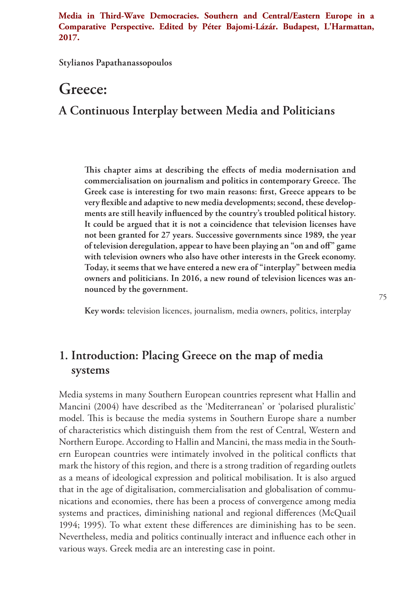**Media in Third-Wave Democracies. Southern and Central/Eastern Europe in a Comparative Perspective. Edited by Péter Bajomi-Lázár. Budapest, L'Harmattan, 2017.**

**Stylianos Papathanassopoulos**

# **Greece:**

# **A Continuous Interplay between Media and Politicians**

**This chapter aims at describing the effects of media modernisation and commercialisation on journalism and politics in contemporary Greece. The Greek case is interesting for two main reasons: first, Greece appears to be very flexible and adaptive to new media developments; second, these developments are still heavily influenced by the country's troubled political history. It could be argued that it is not a coincidence that television licenses have not been granted for 27 years. Successive governments since 1989, the year of television deregulation, appear to have been playing an "on and off" game with television owners who also have other interests in the Greek economy. Today, it seems that we have entered a new era of "interplay" between media owners and politicians. In 2016, a new round of television licences was announced by the government.** 

**Key words:** television licences, journalism, media owners, politics, interplay

# **1. Introduction: Placing Greece on the map of media systems**

Media systems in many Southern European countries represent what Hallin and Mancini (2004) have described as the 'Mediterranean' or 'polarised pluralistic' model. This is because the media systems in Southern Europe share a number of characteristics which distinguish them from the rest of Central, Western and Northern Europe. According to Hallin and Mancini, the mass media in the Southern European countries were intimately involved in the political conflicts that mark the history of this region, and there is a strong tradition of regarding outlets as a means of ideological expression and political mobilisation. It is also argued that in the age of digitalisation, commercialisation and globalisation of communications and economies, there has been a process of convergence among media systems and practices, diminishing national and regional differences (McQuail 1994; 1995). To what extent these differences are diminishing has to be seen. Nevertheless, media and politics continually interact and influence each other in various ways. Greek media are an interesting case in point.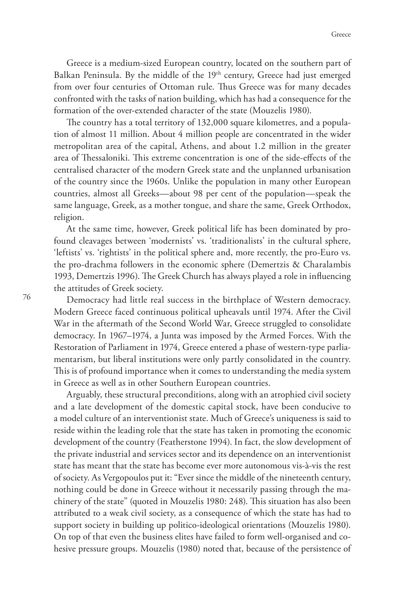Greece is a medium-sized European country, located on the southern part of Balkan Peninsula. By the middle of the 19<sup>th</sup> century, Greece had just emerged from over four centuries of Ottoman rule. Thus Greece was for many decades confronted with the tasks of nation building, which has had a consequence for the formation of the over-extended character of the state (Mouzelis 1980).

The country has a total territory of 132,000 square kilometres, and a population of almost 11 million. About 4 million people are concentrated in the wider metropolitan area of the capital, Athens, and about 1.2 million in the greater area of Thessaloniki. This extreme concentration is one of the side-effects of the centralised character of the modern Greek state and the unplanned urbanisation of the country since the 1960s. Unlike the population in many other European countries, almost all Greeks—about 98 per cent of the population—speak the same language, Greek, as a mother tongue, and share the same, Greek Orthodox, religion.

At the same time, however, Greek political life has been dominated by profound cleavages between 'modernists' vs. 'traditionalists' in the cultural sphere, 'leftists' vs. 'rightists' in the political sphere and, more recently, the pro-Euro vs. the pro-drachma followers in the economic sphere (Demertzis & Charalambis 1993, Demertzis 1996). The Greek Church has always played a role in influencing the attitudes of Greek society.

Democracy had little real success in the birthplace of Western democracy. Modern Greece faced continuous political upheavals until 1974. After the Civil War in the aftermath of the Second World War, Greece struggled to consolidate democracy. In 1967–1974, a Junta was imposed by the Armed Forces. With the Restoration of Parliament in 1974, Greece entered a phase of western-type parliamentarism, but liberal institutions were only partly consolidated in the country. This is of profound importance when it comes to understanding the media system in Greece as well as in other Southern European countries.

Arguably, these structural preconditions, along with an atrophied civil society and a late development of the domestic capital stock, have been conducive to a model culture of an interventionist state. Much of Greece's uniqueness is said to reside within the leading role that the state has taken in promoting the economic development of the country (Featherstone 1994). In fact, the slow development of the private industrial and services sector and its dependence on an interventionist state has meant that the state has become ever more autonomous vis-à-vis the rest of society. As Vergopoulos put it: "Ever since the middle of the nineteenth century, nothing could be done in Greece without it necessarily passing through the machinery of the state" (quoted in Mouzelis 1980: 248). This situation has also been attributed to a weak civil society, as a consequence of which the state has had to support society in building up politico-ideological orientations (Mouzelis 1980). On top of that even the business elites have failed to form well-organised and cohesive pressure groups. Mouzelis (1980) noted that, because of the persistence of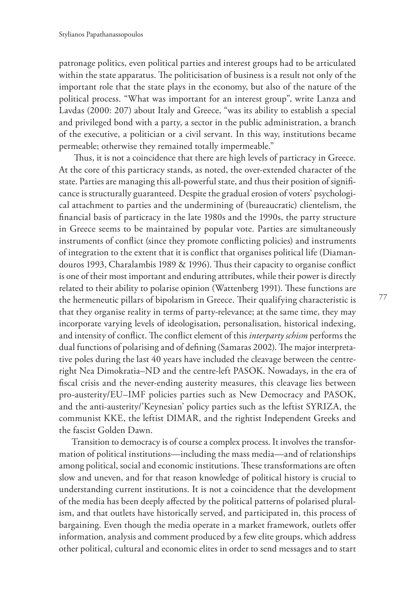patronage politics, even political parties and interest groups had to be articulated within the state apparatus. The politicisation of business is a result not only of the important role that the state plays in the economy, but also of the nature of the political process. "What was important for an interest group", write Lanza and Lavdas (2000: 207) about Italy and Greece, "was its ability to establish a special and privileged bond with a party, a sector in the public administration, a branch of the executive, a politician or a civil servant. In this way, institutions became permeable; otherwise they remained totally impermeable."

 Thus, it is not a coincidence that there are high levels of particracy in Greece. At the core of this particracy stands, as noted, the over-extended character of the state. Parties are managing this all-powerful state, and thus their position of significance is structurally guaranteed. Despite the gradual erosion of voters' psychological attachment to parties and the undermining of (bureaucratic) clientelism, the financial basis of particracy in the late 1980s and the 1990s, the party structure in Greece seems to be maintained by popular vote. Parties are simultaneously instruments of conflict (since they promote conflicting policies) and instruments of integration to the extent that it is conflict that organises political life (Diamandouros 1993, Charalambis 1989 & 1996). Thus their capacity to organise conflict is one of their most important and enduring attributes, while their power is directly related to their ability to polarise opinion (Wattenberg 1991). These functions are the hermeneutic pillars of bipolarism in Greece. Their qualifying characteristic is that they organise reality in terms of party-relevance; at the same time, they may incorporate varying levels of ideologisation, personalisation, historical indexing, and intensity of conflict. The conflict element of this *interparty schism* performs the dual functions of polarising and of defining (Samaras 2002). The major interpretative poles during the last 40 years have included the cleavage between the centreright Nea Dimokratia–ND and the centre-left PASOK. Nowadays, in the era of fiscal crisis and the never-ending austerity measures, this cleavage lies between pro-austerity/EU–IMF policies parties such as New Democracy and PASOK, and the anti-austerity/'Keynesian' policy parties such as the leftist SYRIZA, the communist KKE, the leftist DIMAR, and the rightist Independent Greeks and the fascist Golden Dawn.

Transition to democracy is of course a complex process. It involves the transformation of political institutions—including the mass media—and of relationships among political, social and economic institutions. These transformations are often slow and uneven, and for that reason knowledge of political history is crucial to understanding current institutions. It is not a coincidence that the development of the media has been deeply affected by the political patterns of polarised pluralism, and that outlets have historically served, and participated in, this process of bargaining. Even though the media operate in a market framework, outlets offer information, analysis and comment produced by a few elite groups, which address other political, cultural and economic elites in order to send messages and to start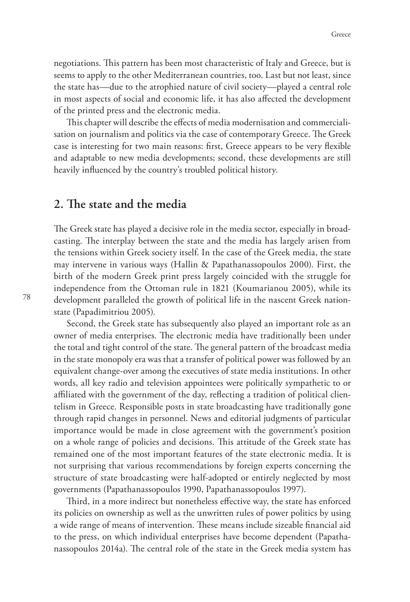negotiations. This pattern has been most characteristic of Italy and Greece, but is seems to apply to the other Mediterranean countries, too. Last but not least, since the state has—due to the atrophied nature of civil society—played a central role in most aspects of social and economic life, it has also affected the development of the printed press and the electronic media.

This chapter will describe the effects of media modernisation and commercialisation on journalism and politics via the case of contemporary Greece. The Greek case is interesting for two main reasons: first, Greece appears to be very flexible and adaptable to new media developments; second, these developments are still heavily influenced by the country's troubled political history.

#### **2. The state and the media**

The Greek state has played a decisive role in the media sector, especially in broadcasting. The interplay between the state and the media has largely arisen from the tensions within Greek society itself. In the case of the Greek media, the state may intervene in various ways (Hallin & Papathanassopoulos 2000). First, the birth of the modern Greek print press largely coincided with the struggle for independence from the Ottoman rule in 1821 (Koumarianou 2005), while its development paralleled the growth of political life in the nascent Greek nationstate (Papadimitriou 2005).

Second, the Greek state has subsequently also played an important role as an owner of media enterprises. The electronic media have traditionally been under the total and tight control of the state. The general pattern of the broadcast media in the state monopoly era was that a transfer of political power was followed by an equivalent change-over among the executives of state media institutions. In other words, all key radio and television appointees were politically sympathetic to or affiliated with the government of the day, reflecting a tradition of political clientelism in Greece. Responsible posts in state broadcasting have traditionally gone through rapid changes in personnel. News and editorial judgments of particular importance would be made in close agreement with the government's position on a whole range of policies and decisions. This attitude of the Greek state has remained one of the most important features of the state electronic media. It is not surprising that various recommendations by foreign experts concerning the structure of state broadcasting were half-adopted or entirely neglected by most governments (Papathanassopoulos 1990, Papathanassopoulos 1997).

Third, in a more indirect but nonetheless effective way, the state has enforced its policies on ownership as well as the unwritten rules of power politics by using a wide range of means of intervention. These means include sizeable financial aid to the press, on which individual enterprises have become dependent (Papathanassopoulos 2014a). The central role of the state in the Greek media system has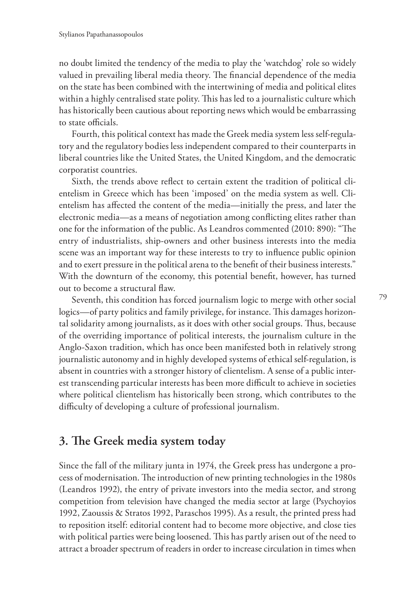no doubt limited the tendency of the media to play the 'watchdog' role so widely valued in prevailing liberal media theory. The financial dependence of the media on the state has been combined with the intertwining of media and political elites within a highly centralised state polity. This has led to a journalistic culture which has historically been cautious about reporting news which would be embarrassing to state officials.

Fourth, this political context has made the Greek media system less self-regulatory and the regulatory bodies less independent compared to their counterparts in liberal countries like the United States, the United Kingdom, and the democratic corporatist countries.

Sixth, the trends above reflect to certain extent the tradition of political clientelism in Greece which has been 'imposed' on the media system as well. Clientelism has affected the content of the media—initially the press, and later the electronic media—as a means of negotiation among conflicting elites rather than one for the information of the public. As Leandros commented (2010: 890): "The entry of industrialists, ship-owners and other business interests into the media scene was an important way for these interests to try to influence public opinion and to exert pressure in the political arena to the benefit of their business interests." With the downturn of the economy, this potential benefit, however, has turned out to become a structural flaw.

Seventh, this condition has forced journalism logic to merge with other social logics—of party politics and family privilege, for instance. This damages horizontal solidarity among journalists, as it does with other social groups. Thus, because of the overriding importance of political interests, the journalism culture in the Anglo-Saxon tradition, which has once been manifested both in relatively strong journalistic autonomy and in highly developed systems of ethical self-regulation, is absent in countries with a stronger history of clientelism. A sense of a public interest transcending particular interests has been more difficult to achieve in societies where political clientelism has historically been strong, which contributes to the difficulty of developing a culture of professional journalism.

## **3. The Greek media system today**

Since the fall of the military junta in 1974, the Greek press has undergone a process of modernisation. The introduction of new printing technologies in the 1980s (Leandros 1992), the entry of private investors into the media sector, and strong competition from television have changed the media sector at large (Psychoyios 1992, Zaoussis & Stratos 1992, Paraschos 1995). As a result, the printed press had to reposition itself: editorial content had to become more objective, and close ties with political parties were being loosened. This has partly arisen out of the need to attract a broader spectrum of readers in order to increase circulation in times when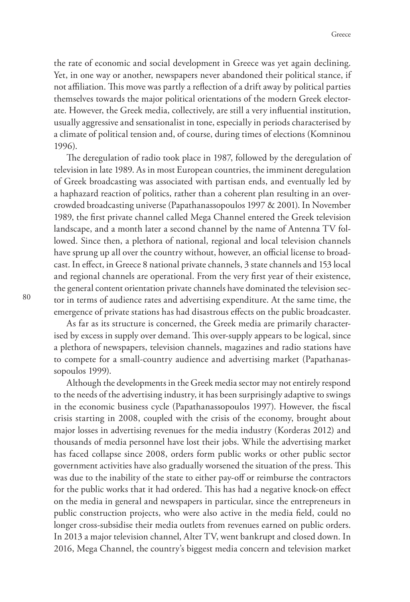the rate of economic and social development in Greece was yet again declining. Yet, in one way or another, newspapers never abandoned their political stance, if not affiliation. This move was partly a reflection of a drift away by political parties themselves towards the major political orientations of the modern Greek electorate. However, the Greek media, collectively, are still a very influential institution, usually aggressive and sensationalist in tone, especially in periods characterised by a climate of political tension and, of course, during times of elections (Komninou 1996).

The deregulation of radio took place in 1987, followed by the deregulation of television in late 1989. As in most European countries, the imminent deregulation of Greek broadcasting was associated with partisan ends, and eventually led by a haphazard reaction of politics, rather than a coherent plan resulting in an overcrowded broadcasting universe (Papathanassopoulos 1997 & 2001). In November 1989, the first private channel called Mega Channel entered the Greek television landscape, and a month later a second channel by the name of Antenna TV followed. Since then, a plethora of national, regional and local television channels have sprung up all over the country without, however, an official license to broadcast. In effect, in Greece 8 national private channels, 3 state channels and 153 local and regional channels are operational. From the very first year of their existence, the general content orientation private channels have dominated the television sector in terms of audience rates and advertising expenditure. At the same time, the emergence of private stations has had disastrous effects on the public broadcaster.

As far as its structure is concerned, the Greek media are primarily characterised by excess in supply over demand. This over-supply appears to be logical, since a plethora of newspapers, television channels, magazines and radio stations have to compete for a small-country audience and advertising market (Papathanassopoulos 1999).

Although the developments in the Greek media sector may not entirely respond to the needs of the advertising industry, it has been surprisingly adaptive to swings in the economic business cycle (Papathanassopoulos 1997). However, the fiscal crisis starting in 2008, coupled with the crisis of the economy, brought about major losses in advertising revenues for the media industry (Korderas 2012) and thousands of media personnel have lost their jobs. While the advertising market has faced collapse since 2008, orders form public works or other public sector government activities have also gradually worsened the situation of the press. This was due to the inability of the state to either pay-off or reimburse the contractors for the public works that it had ordered. This has had a negative knock-on effect on the media in general and newspapers in particular, since the entrepreneurs in public construction projects, who were also active in the media field, could no longer cross-subsidise their media outlets from revenues earned on public orders. In 2013 a major television channel, Alter TV, went bankrupt and closed down. In 2016, Mega Channel, the country's biggest media concern and television market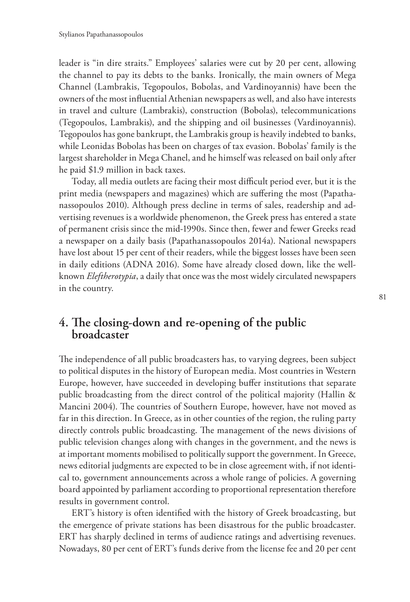leader is "in dire straits." Employees' salaries were cut by 20 per cent, allowing the channel to pay its debts to the banks. Ironically, the main owners of Mega Channel (Lambrakis, Tegopoulos, Bobolas, and Vardinoyannis) have been the owners of the most influential Athenian newspapers as well, and also have interests in travel and culture (Lambrakis), construction (Bobolas), telecommunications (Tegopoulos, Lambrakis), and the shipping and oil businesses (Vardinoyannis). Tegopoulos has gone bankrupt, the Lambrakis group is heavily indebted to banks, while Leonidas Bobolas has been on charges of tax evasion. Bobolas' family is the largest shareholder in Mega Chanel, and he himself was released on bail only after he paid \$1.9 million in back taxes.

Today, all media outlets are facing their most difficult period ever, but it is the print media (newspapers and magazines) which are suffering the most (Papathanassopoulos 2010). Although press decline in terms of sales, readership and advertising revenues is a worldwide phenomenon, the Greek press has entered a state of permanent crisis since the mid-1990s. Since then, fewer and fewer Greeks read a newspaper on a daily basis (Papathanassopoulos 2014a). National newspapers have lost about 15 per cent of their readers, while the biggest losses have been seen in daily editions (ADNA 2016). Some have already closed down, like the wellknown *Eleftherotypia*, a daily that once was the most widely circulated newspapers in the country.

#### **4. The closing-down and re-opening of the public broadcaster**

The independence of all public broadcasters has, to varying degrees, been subject to political disputes in the history of European media. Most countries in Western Europe, however, have succeeded in developing buffer institutions that separate public broadcasting from the direct control of the political majority (Hallin & Mancini 2004). The countries of Southern Europe, however, have not moved as far in this direction. In Greece, as in other counties of the region, the ruling party directly controls public broadcasting. The management of the news divisions of public television changes along with changes in the government, and the news is at important moments mobilised to politically support the government. In Greece, news editorial judgments are expected to be in close agreement with, if not identical to, government announcements across a whole range of policies. A governing board appointed by parliament according to proportional representation therefore results in government control.

ERT's history is often identified with the history of Greek broadcasting, but the emergence of private stations has been disastrous for the public broadcaster. ERT has sharply declined in terms of audience ratings and advertising revenues. Nowadays, 80 per cent of ERT's funds derive from the license fee and 20 per cent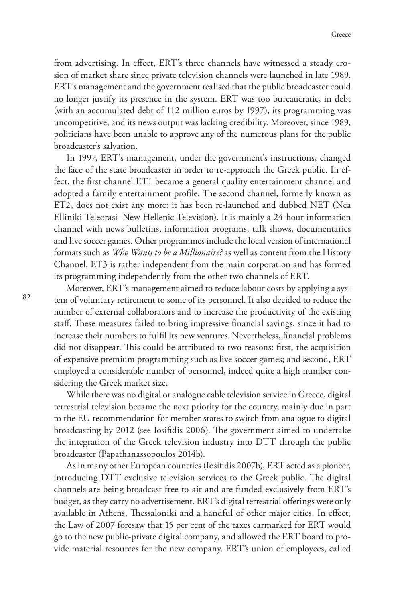from advertising. In effect, ERT's three channels have witnessed a steady erosion of market share since private television channels were launched in late 1989. ERT's management and the government realised that the public broadcaster could no longer justify its presence in the system. ERT was too bureaucratic, in debt (with an accumulated debt of 112 million euros by 1997), its programming was uncompetitive, and its news output was lacking credibility. Moreover, since 1989, politicians have been unable to approve any of the numerous plans for the public broadcaster's salvation.

In 1997, ERT's management, under the government's instructions, changed the face of the state broadcaster in order to re-approach the Greek public. In effect, the first channel ET1 became a general quality entertainment channel and adopted a family entertainment profile. The second channel, formerly known as ET2, does not exist any more: it has been re-launched and dubbed NET (Nea Elliniki Teleorasi–New Hellenic Television). It is mainly a 24-hour information channel with news bulletins, information programs, talk shows, documentaries and live soccer games. Other programmes include the local version of international formats such as *Who Wants to be a Millionaire?* as well as content from the History Channel. ET3 is rather independent from the main corporation and has formed its programming independently from the other two channels of ERT.

Moreover, ERT's management aimed to reduce labour costs by applying a system of voluntary retirement to some of its personnel. It also decided to reduce the number of external collaborators and to increase the productivity of the existing staff. These measures failed to bring impressive financial savings, since it had to increase their numbers to fulfil its new ventures. Nevertheless, financial problems did not disappear. This could be attributed to two reasons: first, the acquisition of expensive premium programming such as live soccer games; and second, ERT employed a considerable number of personnel, indeed quite a high number considering the Greek market size.

While there was no digital or analogue cable television service in Greece, digital terrestrial television became the next priority for the country, mainly due in part to the EU recommendation for member-states to switch from analogue to digital broadcasting by 2012 (see Iosifidis 2006). The government aimed to undertake the integration of the Greek television industry into DTT through the public broadcaster (Papathanassopoulos 2014b).

As in many other European countries (Iosifidis 2007b), ERT acted as a pioneer, introducing DTT exclusive television services to the Greek public. The digital channels are being broadcast free-to-air and are funded exclusively from ERT's budget, as they carry no advertisement. ERT's digital terrestrial offerings were only available in Athens, Thessaloniki and a handful of other major cities. In effect, the Law of 2007 foresaw that 15 per cent of the taxes earmarked for ERT would go to the new public-private digital company, and allowed the ERT board to provide material resources for the new company. ERT's union of employees, called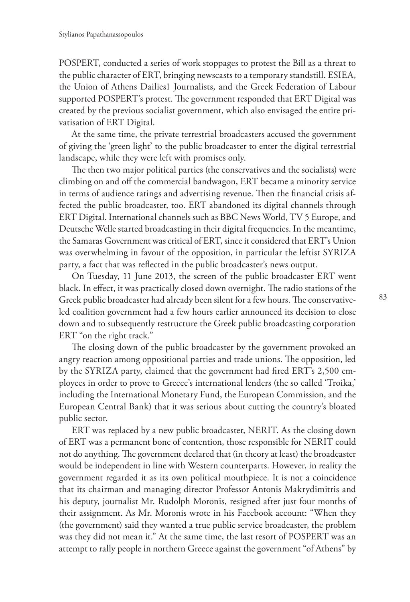POSPERT, conducted a series of work stoppages to protest the Bill as a threat to the public character of ERT, bringing newscasts to a temporary standstill. ESIEA, the Union of Athens Dailies1 Journalists, and the Greek Federation of Labour supported POSPERT's protest. The government responded that ERT Digital was created by the previous socialist government, which also envisaged the entire privatisation of ERT Digital.

At the same time, the private terrestrial broadcasters accused the government of giving the 'green light' to the public broadcaster to enter the digital terrestrial landscape, while they were left with promises only.

The then two major political parties (the conservatives and the socialists) were climbing on and off the commercial bandwagon, ERT became a minority service in terms of audience ratings and advertising revenue. Then the financial crisis affected the public broadcaster, too. ERT abandoned its digital channels through ERT Digital. International channels such as BBC News World, TV 5 Europe, and Deutsche Welle started broadcasting in their digital frequencies. In the meantime, the Samaras Government was critical of ERT, since it considered that ERT's Union was overwhelming in favour of the opposition, in particular the leftist SYRIZA party, a fact that was reflected in the public broadcaster's news output.

On Tuesday, 11 June 2013, the screen of the public broadcaster ERT went black. In effect, it was practically closed down overnight. The radio stations of the Greek public broadcaster had already been silent for a few hours. The conservativeled coalition government had a few hours earlier announced its decision to close down and to subsequently restructure the Greek public broadcasting corporation ERT "on the right track."

The closing down of the public broadcaster by the government provoked an angry reaction among oppositional parties and trade unions. The opposition, led by the SYRIZA party, claimed that the government had fired ERT's 2,500 employees in order to prove to Greece's international lenders (the so called 'Troika,' including the International Monetary Fund, the European Commission, and the European Central Bank) that it was serious about cutting the country's bloated public sector.

ERT was replaced by a new public broadcaster, NERIT. As the closing down of ERT was a permanent bone of contention, those responsible for NERIT could not do anything. The government declared that (in theory at least) the broadcaster would be independent in line with Western counterparts. However, in reality the government regarded it as its own political mouthpiece. It is not a coincidence that its chairman and managing director Professor Antonis Makrydimitris and his deputy, journalist Mr. Rudolph Moronis, resigned after just four months of their assignment. As Mr. Moronis wrote in his Facebook account: "When they (the government) said they wanted a true public service broadcaster, the problem was they did not mean it." At the same time, the last resort of POSPERT was an attempt to rally people in northern Greece against the government "of Athens" by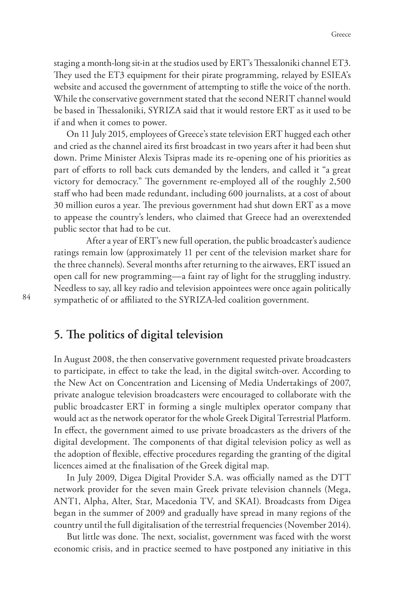staging a month-long sit-in at the studios used by ERT's Thessaloniki channel ET3. They used the ET3 equipment for their pirate programming, relayed by ESIEA's website and accused the government of attempting to stifle the voice of the north. While the conservative government stated that the second NERIT channel would be based in Thessaloniki, SYRIZA said that it would restore ERT as it used to be if and when it comes to power.

On 11 July 2015, employees of Greece's state television ERT hugged each other and cried as the channel aired its first broadcast in two years after it had been shut down. Prime Minister Alexis Tsipras made its re-opening one of his priorities as part of efforts to roll back cuts demanded by the lenders, and called it "a great victory for democracy." The government re-employed all of the roughly 2,500 staff who had been made redundant, including 600 journalists, at a cost of about 30 million euros a year. The previous government had shut down ERT as a move to appease the country's lenders, who claimed that Greece had an overextended public sector that had to be cut.

 After a year of ERT's new full operation, the public broadcaster's audience ratings remain low (approximately 11 per cent of the television market share for the three channels). Several months after returning to the airwaves, ERT issued an open call for new programming—a faint ray of light for the struggling industry. Needless to say, all key radio and television appointees were once again politically sympathetic of or affiliated to the SYRIZA-led coalition government.

#### **5. The politics of digital television**

In August 2008, the then conservative government requested private broadcasters to participate, in effect to take the lead, in the digital switch-over. According to the New Act on Concentration and Licensing of Media Undertakings of 2007, private analogue television broadcasters were encouraged to collaborate with the public broadcaster ERT in forming a single multiplex operator company that would act as the network operator for the whole Greek Digital Terrestrial Platform. In effect, the government aimed to use private broadcasters as the drivers of the digital development. The components of that digital television policy as well as the adoption of flexible, effective procedures regarding the granting of the digital licences aimed at the finalisation of the Greek digital map.

In July 2009, Digea Digital Provider S.A. was officially named as the DTT network provider for the seven main Greek private television channels (Mega, ANT1, Alpha, Alter, Star, Macedonia TV, and SKAI). Broadcasts from Digea began in the summer of 2009 and gradually have spread in many regions of the country until the full digitalisation of the terrestrial frequencies (November 2014).

But little was done. The next, socialist, government was faced with the worst economic crisis, and in practice seemed to have postponed any initiative in this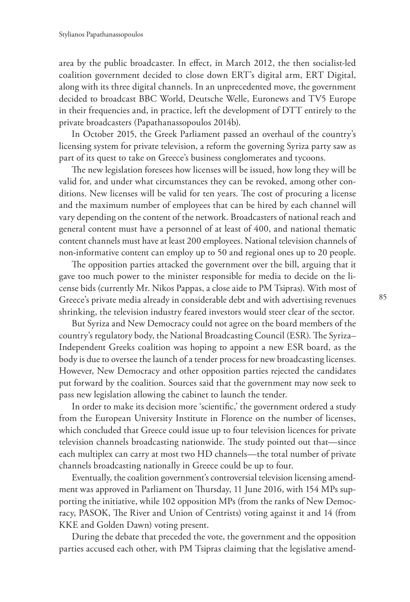area by the public broadcaster. In effect, in March 2012, the then socialist-led coalition government decided to close down ERT's digital arm, ERT Digital, along with its three digital channels. In an unprecedented move, the government decided to broadcast BBC World, Deutsche Welle, Euronews and TV5 Europe in their frequencies and, in practice, left the development of DTT entirely to the private broadcasters (Papathanassopoulos 2014b).

In October 2015, the Greek Parliament passed an overhaul of the country's licensing system for private television, a reform the governing Syriza party saw as part of its quest to take on Greece's business conglomerates and tycoons.

The new legislation foresees how licenses will be issued, how long they will be valid for, and under what circumstances they can be revoked, among other conditions. New licenses will be valid for ten years. The cost of procuring a license and the maximum number of employees that can be hired by each channel will vary depending on the content of the network. Broadcasters of national reach and general content must have a personnel of at least of 400, and national thematic content channels must have at least 200 employees. National television channels of non-informative content can employ up to 50 and regional ones up to 20 people.

The opposition parties attacked the government over the bill, arguing that it gave too much power to the minister responsible for media to decide on the license bids (currently Mr. Nikos Pappas, a close aide to PM Tsipras). With most of Greece's private media already in considerable debt and with advertising revenues shrinking, the television industry feared investors would steer clear of the sector.

But Syriza and New Democracy could not agree on the board members of the country's regulatory body, the National Broadcasting Council (ESR). The Syriza– Independent Greeks coalition was hoping to appoint a new ESR board, as the body is due to oversee the launch of a tender process for new broadcasting licenses. However, New Democracy and other opposition parties rejected the candidates put forward by the coalition. Sources said that the government may now seek to pass new legislation allowing the cabinet to launch the tender.

In order to make its decision more 'scientific,' the government ordered a study from the European University Institute in Florence on the number of licenses, which concluded that Greece could issue up to four television licences for private television channels broadcasting nationwide. The study pointed out that—since each multiplex can carry at most two HD channels—the total number of private channels broadcasting nationally in Greece could be up to four.

Eventually, the coalition government's controversial television licensing amendment was approved in Parliament on Thursday, 11 June 2016, with 154 MPs supporting the initiative, while 102 opposition MPs (from the ranks of New Democracy, PASOK, The River and Union of Centrists) voting against it and 14 (from KKE and Golden Dawn) voting present.

During the debate that preceded the vote, the government and the opposition parties accused each other, with PM Tsipras claiming that the legislative amend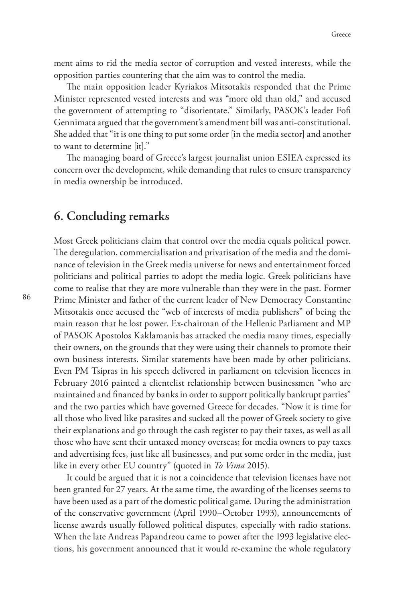ment aims to rid the media sector of corruption and vested interests, while the opposition parties countering that the aim was to control the media.

The main opposition leader Kyriakos Mitsotakis responded that the Prime Minister represented vested interests and was "more old than old," and accused the government of attempting to "disorientate." Similarly, PASOK's leader Fofi Gennimata argued that the government's amendment bill was anti-constitutional. She added that "it is one thing to put some order [in the media sector] and another to want to determine [it]."

The managing board of Greece's largest journalist union ESIEA expressed its concern over the development, while demanding that rules to ensure transparency in media ownership be introduced.

#### **6. Concluding remarks**

Most Greek politicians claim that control over the media equals political power. The deregulation, commercialisation and privatisation of the media and the dominance of television in the Greek media universe for news and entertainment forced politicians and political parties to adopt the media logic. Greek politicians have come to realise that they are more vulnerable than they were in the past. Former Prime Minister and father of the current leader of New Democracy Constantine Mitsotakis once accused the "web of interests of media publishers" of being the main reason that he lost power. Ex-chairman of the Hellenic Parliament and MP of PASOK Apostolos Kaklamanis has attacked the media many times, especially their owners, on the grounds that they were using their channels to promote their own business interests. Similar statements have been made by other politicians. Even PM Tsipras in his speech delivered in parliament on television licences in February 2016 painted a clientelist relationship between businessmen "who are maintained and financed by banks in order to support politically bankrupt parties" and the two parties which have governed Greece for decades. "Now it is time for all those who lived like parasites and sucked all the power of Greek society to give their explanations and go through the cash register to pay their taxes, as well as all those who have sent their untaxed money overseas; for media owners to pay taxes and advertising fees, just like all businesses, and put some order in the media, just like in every other EU country" (quoted in *To Vima* 2015).

It could be argued that it is not a coincidence that television licenses have not been granted for 27 years. At the same time, the awarding of the licenses seems to have been used as a part of the domestic political game. During the administration of the conservative government (April 1990–October 1993), announcements of license awards usually followed political disputes, especially with radio stations. When the late Andreas Papandreou came to power after the 1993 legislative elections, his government announced that it would re-examine the whole regulatory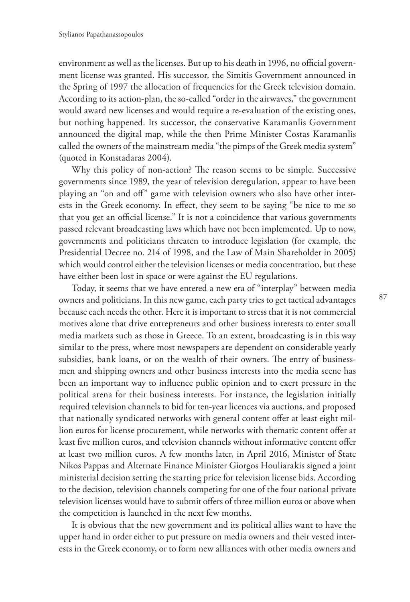environment as well as the licenses. But up to his death in 1996, no official government license was granted. His successor, the Simitis Government announced in the Spring of 1997 the allocation of frequencies for the Greek television domain. According to its action-plan, the so-called "order in the airwaves," the government would award new licenses and would require a re-evaluation of the existing ones, but nothing happened. Its successor, the conservative Karamanlis Government announced the digital map, while the then Prime Minister Costas Karamanlis called the owners of the mainstream media "the pimps of the Greek media system" (quoted in Konstadaras 2004).

Why this policy of non-action? The reason seems to be simple. Successive governments since 1989, the year of television deregulation, appear to have been playing an "on and off" game with television owners who also have other interests in the Greek economy. In effect, they seem to be saying "be nice to me so that you get an official license." It is not a coincidence that various governments passed relevant broadcasting laws which have not been implemented. Up to now, governments and politicians threaten to introduce legislation (for example, the Presidential Decree no. 214 of 1998, and the Law of Main Shareholder in 2005) which would control either the television licenses or media concentration, but these have either been lost in space or were against the EU regulations.

Today, it seems that we have entered a new era of "interplay" between media owners and politicians. In this new game, each party tries to get tactical advantages because each needs the other. Here it is important to stress that it is not commercial motives alone that drive entrepreneurs and other business interests to enter small media markets such as those in Greece. To an extent, broadcasting is in this way similar to the press, where most newspapers are dependent on considerable yearly subsidies, bank loans, or on the wealth of their owners. The entry of businessmen and shipping owners and other business interests into the media scene has been an important way to influence public opinion and to exert pressure in the political arena for their business interests. For instance, the legislation initially required television channels to bid for ten-year licences via auctions, and proposed that nationally syndicated networks with general content offer at least eight million euros for license procurement, while networks with thematic content offer at least five million euros, and television channels without informative content offer at least two million euros. A few months later, in April 2016, Minister of State Nikos Pappas and Alternate Finance Minister Giorgos Houliarakis signed a joint ministerial decision setting the starting price for television license bids. According to the decision, television channels competing for one of the four national private television licenses would have to submit offers of three million euros or above when the competition is launched in the next few months.

It is obvious that the new government and its political allies want to have the upper hand in order either to put pressure on media owners and their vested interests in the Greek economy, or to form new alliances with other media owners and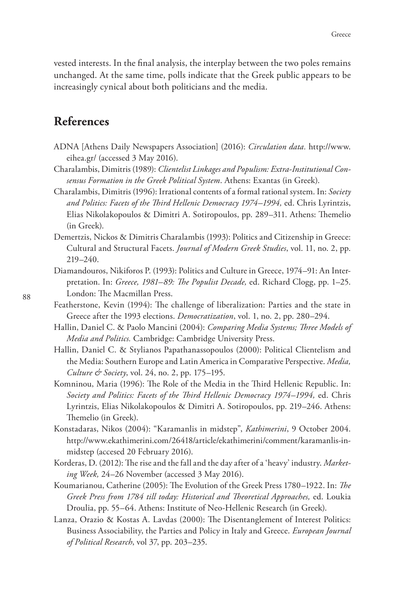vested interests. In the final analysis, the interplay between the two poles remains unchanged. At the same time, polls indicate that the Greek public appears to be increasingly cynical about both politicians and the media.

## **References**

- ADNA [Athens Daily Newspapers Association] (2016): *Circulation data.* http://www. eihea.gr/ (accessed 3 May 2016).
- Charalambis, Dimitris (1989): *Clientelist Linkages and Populism: Extra-Institutional Consensus Formation in the Greek Political System*. Athens: Exantas (in Greek).
- Charalambis, Dimitris (1996): Irrational contents of a formal rational system. In: *Society and Politics: Facets of the Third Hellenic Democracy 1974–1994,* ed. Chris Lyrintzis, Elias Nikolakopoulos & Dimitri A. Sotiropoulos, pp. 289–311. Athens: Themelio (in Greek).
- Demertzis, Nickos & Dimitris Charalambis (1993): Politics and Citizenship in Greece: Cultural and Structural Facets. *Journal of Modern Greek Studies*, vol. 11, no. 2, pp. 219–240.
- Diamandouros, Nikiforos P. (1993): Politics and Culture in Greece, 1974–91: An Interpretation. In: *Greece, 1981–89: The Populist Decade,* ed. Richard Clogg, pp. 1–25. London: The Macmillan Press.
- Featherstone, Kevin (1994): The challenge of liberalization: Parties and the state in Greece after the 1993 elections. *Democratization*, vol. 1, no. 2, pp. 280–294.
- Hallin, Daniel C. & Paolo Mancini (2004): *Comparing Media Systems; Three Models of Media and Politics.* Cambridge: Cambridge University Press.
- Hallin, Daniel C. & Stylianos Papathanassopoulos (2000): Political Clientelism and the Media: Southern Europe and Latin America in Comparative Perspective. *Media, Culture & Society*, vol. 24, no. 2, pp. 175–195.
- Komninou, Maria (1996): The Role of the Media in the Third Hellenic Republic. In: *Society and Politics: Facets of the Third Hellenic Democracy 1974–1994,* ed. Chris Lyrintzis, Elias Nikolakopoulos & Dimitri A. Sotiropoulos, pp. 219–246. Athens: Themelio (in Greek).
- Konstadaras, Nikos (2004): "Karamanlis in midstep", *Kathimerini*, 9 October 2004. http://www.ekathimerini.com/26418/article/ekathimerini/comment/karamanlis-inmidstep (accesed 20 February 2016).
- Korderas, D. (2012): The rise and the fall and the day after of a 'heavy' industry. *Marketing Week,* 24–26 November (accessed 3 May 2016).
- Koumarianou, Catherine (2005): The Evolution of the Greek Press 1780–1922. In: *The Greek Press from 1784 till today: Historical and Theoretical Approaches,* ed. Loukia Droulia, pp. 55–64. Athens: Institute of Neo-Hellenic Research (in Greek).
- Lanza, Orazio & Kostas A. Lavdas (2000): The Disentanglement of Interest Politics: Business Associability, the Parties and Policy in Italy and Greece. *European Journal of Political Research*, vol 37, pp. 203–235.